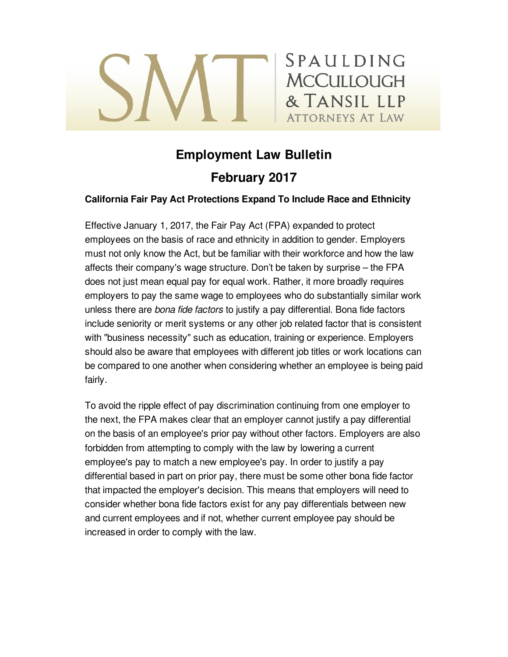# SPAULDING **MCCULLOUGH** & TANSIL LLP **ATTORNEYS AT LAW**

## **Employment Law Bulletin February 2017**

## **California Fair Pay Act Protections Expand To Include Race and Ethnicity**

Effective January 1, 2017, the Fair Pay Act (FPA) expanded to protect employees on the basis of race and ethnicity in addition to gender. Employers must not only know the Act, but be familiar with their workforce and how the law affects their company's wage structure. Don't be taken by surprise – the FPA does not just mean equal pay for equal work. Rather, it more broadly requires employers to pay the same wage to employees who do substantially similar work unless there are *bona fide factors* to justify a pay differential. Bona fide factors include seniority or merit systems or any other job related factor that is consistent with "business necessity" such as education, training or experience. Employers should also be aware that employees with different job titles or work locations can be compared to one another when considering whether an employee is being paid fairly.

To avoid the ripple effect of pay discrimination continuing from one employer to the next, the FPA makes clear that an employer cannot justify a pay differential on the basis of an employee's prior pay without other factors. Employers are also forbidden from attempting to comply with the law by lowering a current employee's pay to match a new employee's pay. In order to justify a pay differential based in part on prior pay, there must be some other bona fide factor that impacted the employer's decision. This means that employers will need to consider whether bona fide factors exist for any pay differentials between new and current employees and if not, whether current employee pay should be increased in order to comply with the law.